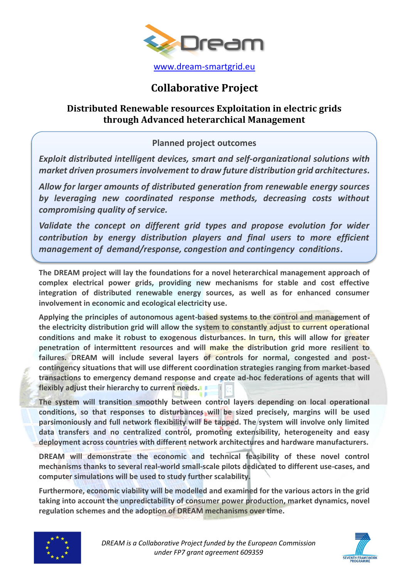

## **Collaborative Project**

## **Distributed Renewable resources Exploitation in electric grids through Advanced heterarchical Management**

## **Planned project outcomes**

*Exploit distributed intelligent devices, smart and self-organizational solutions with market driven prosumersinvolvement to draw future distribution grid architectures.*

*Allow for larger amounts of distributed generation from renewable energy sources by leveraging new coordinated response methods, decreasing costs without compromising quality of service.*

*Validate the concept on different grid types and propose evolution for wider contribution by energy distribution players and final users to more efficient management of demand/response, congestion and contingency conditions.*

**The DREAM project will lay the foundations for a novel heterarchical management approach of complex electrical power grids, providing new mechanisms for stable and cost effective integration of distributed renewable energy sources, as well as for enhanced consumer involvement in economic and ecological electricity use.** 

**Applying the principles of autonomous agent-based systems to the control and management of the electricity distribution grid will allow the system to constantly adjust to current operational conditions and make it robust to exogenous disturbances. In turn, this will allow for greater penetration of intermittent resources and will make the distribution grid more resilient to failures. DREAM will include several layers of controls for normal, congested and postcontingency situations that will use different coordination strategies ranging from market-based transactions to emergency demand response and create ad-hoc federations of agents that will flexibly adjust their hierarchy to current needs.**

**The system will transition smoothly between control layers depending on local operational conditions, so that responses to disturbances will be sized precisely, margins will be used parsimoniously and full network flexibility will be tapped. The system will involve only limited data transfers and no centralized control, promoting extensibility, heterogeneity and easy deployment across countries with different network architectures and hardware manufacturers.**

**DREAM will demonstrate the economic and technical feasibility of these novel control mechanisms thanks to several real-world small-scale pilots dedicated to different use-cases, and computer simulations will be used to study further scalability.** 

**Furthermore, economic viability will be modelled and examined for the various actors in the grid taking into account the unpredictability of consumer power production, market dynamics, novel regulation schemes and the adoption of DREAM mechanisms over time.**